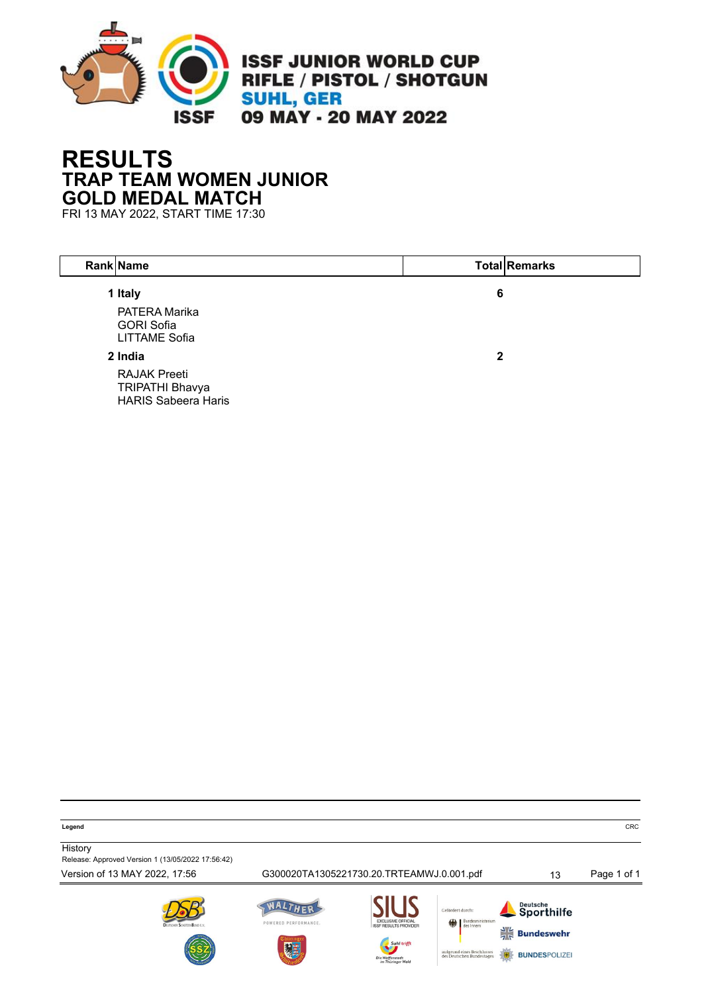

## **RESULTS TRAP TEAM WOMEN JUNIOR GOLD MEDAL MATCH**

FRI 13 MAY 2022, START TIME 17:30

| Rank Name                                                                   |   | <b>Total Remarks</b> |
|-----------------------------------------------------------------------------|---|----------------------|
| 1 Italy<br>PATERA Marika<br><b>GORI Sofia</b><br><b>LITTAME Sofia</b>       | 6 |                      |
| 2 India                                                                     | 2 |                      |
| <b>RAJAK Preeti</b><br><b>TRIPATHI Bhavya</b><br><b>HARIS Sabeera Haris</b> |   |                      |

**Legend** CRC

**History** Release: Approved Version 1 (13/05/2022 17:56:42)

Version of 13 MAY 2022, 17:56 G300020TA1305221730.20.TRTEAMWJ.0.001.pdf 13 Page 1 of 1 WALTHER Deutsche<br>Sporthilfe Cofördert durch POWERED PERFORMANCE.  $\frac{1}{16}$  Bundeswehr

aufgrund eines Besch<br>des Deutschen Bunde

**BUNDESPOLIZE**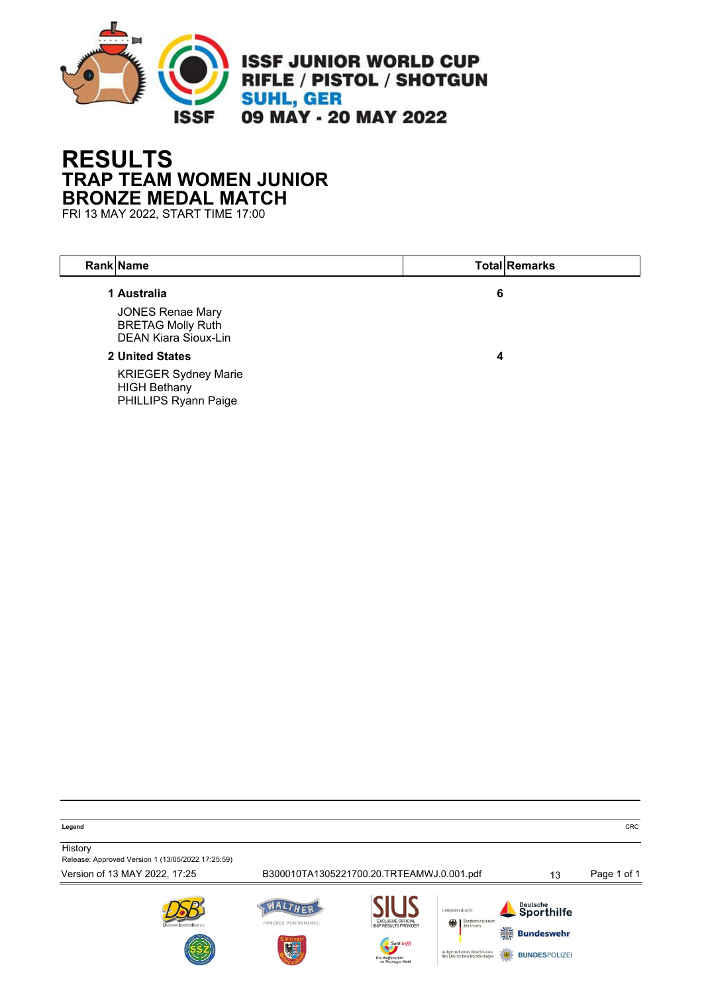

## **RESULTS TRAP TEAM WOMEN JUNIOR BRONZE MEDAL MATCH**

FRI 13 MAY 2022, START TIME 17:00

| Rank Name                                                                          |   | <b>Total Remarks</b> |
|------------------------------------------------------------------------------------|---|----------------------|
| 1 Australia                                                                        | 6 |                      |
| <b>JONES Renae Mary</b><br><b>BRETAG Molly Ruth</b><br><b>DEAN Kiara Sioux-Lin</b> |   |                      |
| <b>2 United States</b>                                                             | 4 |                      |
| <b>KRIEGER Sydney Marie</b><br><b>HIGH Bethany</b><br><b>PHILLIPS Ryann Paige</b>  |   |                      |

**Legend** CRC

**History** Release: Approved Version 1 (13/05/2022 17:25:59)

Version of 13 MAY 2022, 17:25 B300010TA1305221700.20.TRTEAMWJ.0.001.pdf 13 Page 1 of 1 WALTHER Deutsche<br>Sporthilfe Cofördert durch POWERED PERFORMANCE.  $\frac{1}{7}$  Bundeswehr aufgrund eines Beschl<br>des Deutschen Bundes **BUNDESPOLIZE**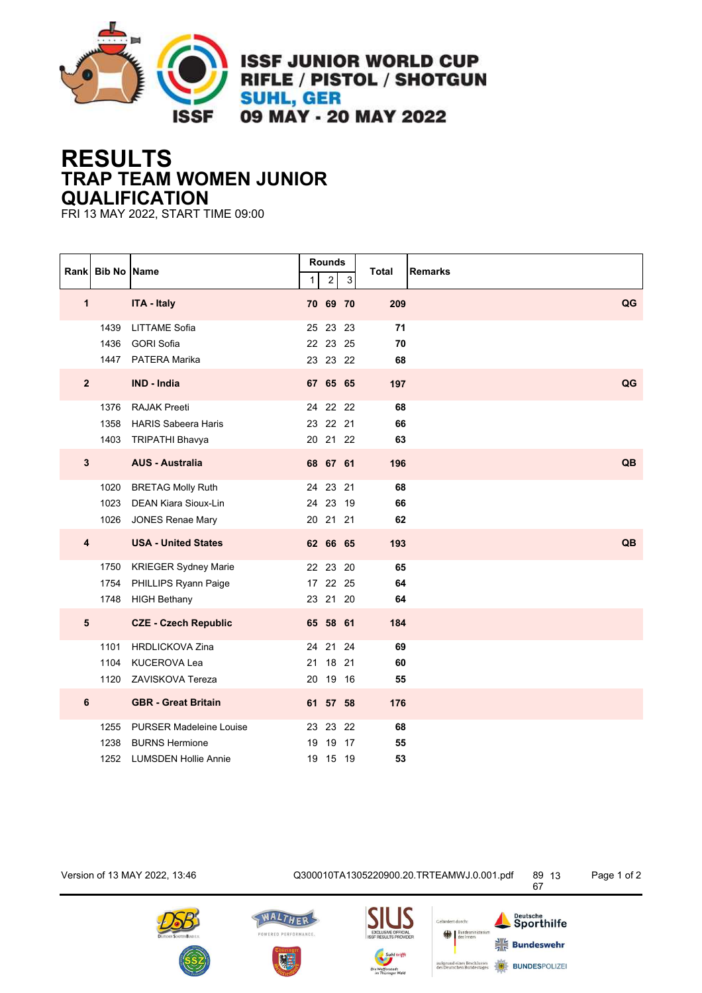

**ISSF JUNIOR WORLD CUP** RIFLE / PISTOL / SHOTGUN **SUHL, GER** 09 MAY - 20 MAY 2022

## **RESULTS TRAP TEAM WOMEN JUNIOR QUALIFICATION**

FRI 13 MAY 2022, START TIME 09:00

|                         | Rank Bib No Name     |                                                                                        | 1  | <b>Rounds</b><br>$\overline{c}$  | 3        | <b>Total</b>   | <b>Remarks</b> |
|-------------------------|----------------------|----------------------------------------------------------------------------------------|----|----------------------------------|----------|----------------|----------------|
| $\mathbf{1}$            |                      | <b>ITA - Italy</b>                                                                     |    | 70 69 70                         |          | 209            | QG             |
|                         | 1439<br>1436<br>1447 | <b>LITTAME Sofia</b><br><b>GORI Sofia</b><br>PATERA Marika                             |    | 25 23<br>22 23<br>23 23 22       | 23<br>25 | 71<br>70<br>68 |                |
| $\mathbf{2}$            |                      | <b>IND - India</b>                                                                     |    | 67 65 65                         |          | 197            | QG             |
|                         | 1376<br>1358<br>1403 | <b>RAJAK Preeti</b><br><b>HARIS Sabeera Haris</b><br><b>TRIPATHI Bhavya</b>            |    | 24 22<br>23 22 21<br>20 21 22    | 22       | 68<br>66<br>63 |                |
| $\mathbf{3}$            |                      | <b>AUS - Australia</b>                                                                 |    | 68 67 61                         |          | 196            | QB             |
|                         | 1020<br>1023<br>1026 | <b>BRETAG Molly Ruth</b><br>DEAN Kiara Sioux-Lin<br><b>JONES Renae Mary</b>            |    | 24 23 21<br>24 23 19<br>20 21 21 |          | 68<br>66<br>62 |                |
| $\overline{\mathbf{4}}$ |                      | <b>USA - United States</b>                                                             |    | 62 66 65                         |          | 193            | QB             |
|                         | 1750<br>1754<br>1748 | KRIEGER Sydney Marie<br>PHILLIPS Ryann Paige<br><b>HIGH Bethany</b>                    |    | 22 23<br>17 22 25<br>23 21 20    | 20       | 65<br>64<br>64 |                |
| $5\phantom{.0}$         |                      | <b>CZE - Czech Republic</b>                                                            |    | 65 58 61                         |          | 184            |                |
|                         | 1101<br>1104<br>1120 | <b>HRDLICKOVA Zina</b><br><b>KUCEROVA Lea</b><br>ZAVISKOVA Tereza                      |    | 24 21 24<br>21 18<br>20 19 16    | 21       | 69<br>60<br>55 |                |
| $\bf 6$                 |                      | <b>GBR - Great Britain</b>                                                             |    | 61 57 58                         |          | 176            |                |
|                         | 1255<br>1238<br>1252 | <b>PURSER Madeleine Louise</b><br><b>BURNS Hermione</b><br><b>LUMSDEN Hollie Annie</b> | 19 | 23 23<br>19 17<br>19 15 19       | 22       | 68<br>55<br>53 |                |

Version of 13 MAY 2022, 13:46 Q300010TA1305220900.20.TRTEAMWJ.0.001.pdf 89









Gefördert durch: aufgrund eines Beschlusses<br>des Deutschen Bundestages Page 1 of 2

67

Deutsche<br>Sporthilfe

 $\frac{1}{7}$  Bundeswehr

**BUNDESPOLIZE**